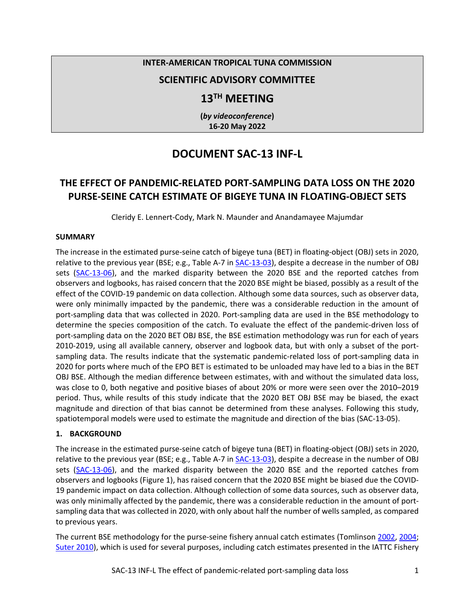#### **INTER-AMERICAN TROPICAL TUNA COMMISSION**

### **SCIENTIFIC ADVISORY COMMITTEE**

## **13TH MEETING**

**(***by videoconference***) 16-20 May 2022**

# **DOCUMENT SAC-13 INF-L**

## **THE EFFECT OF PANDEMIC-RELATED PORT-SAMPLING DATA LOSS ON THE 2020 PURSE-SEINE CATCH ESTIMATE OF BIGEYE TUNA IN FLOATING-OBJECT SETS**

Cleridy E. Lennert-Cody, Mark N. Maunder and Anandamayee Majumdar

#### **SUMMARY**

The increase in the estimated purse-seine catch of bigeye tuna (BET) in floating-object (OBJ) sets in 2020, relative to the previous year (BSE; e.g., Table A-7 i[n SAC-13-03\)](https://www.iattc.org/Meetings/Meetings2022/SAC-13/_English/SAC-13-03_The%20tuna%20fishery%20in%20the%20Eastern%20Pacific%20Ocean%20in%202021.pdf), despite a decrease in the number of OBJ sets [\(SAC-13-06\)](https://www.iattc.org/Meetings/Meetings2022/SAC-13/_English/SAC-13-06_Stock%20status%20indicators%20(SSIs)%20for%20tropical%20tunas%20in%20the%20EPO.pdf), and the marked disparity between the 2020 BSE and the reported catches from observers and logbooks, has raised concern that the 2020 BSE might be biased, possibly as a result of the effect of the COVID-19 pandemic on data collection. Although some data sources, such as observer data, were only minimally impacted by the pandemic, there was a considerable reduction in the amount of port-sampling data that was collected in 2020. Port-sampling data are used in the BSE methodology to determine the species composition of the catch. To evaluate the effect of the pandemic-driven loss of port-sampling data on the 2020 BET OBJ BSE, the BSE estimation methodology was run for each of years 2010-2019, using all available cannery, observer and logbook data, but with only a subset of the portsampling data. The results indicate that the systematic pandemic-related loss of port-sampling data in 2020 for ports where much of the EPO BET is estimated to be unloaded may have led to a bias in the BET OBJ BSE. Although the median difference between estimates, with and without the simulated data loss, was close to 0, both negative and positive biases of about 20% or more were seen over the 2010–2019 period. Thus, while results of this study indicate that the 2020 BET OBJ BSE may be biased, the exact magnitude and direction of that bias cannot be determined from these analyses. Following this study, spatiotemporal models were used to estimate the magnitude and direction of the bias (SAC-13-05).

#### **1. BACKGROUND**

The increase in the estimated purse-seine catch of bigeye tuna (BET) in floating-object (OBJ) sets in 2020, relative to the previous year (BSE; e.g., Table A-7 in  $SAC-13-03$ ), despite a decrease in the number of OBJ sets [\(SAC-13-06\)](https://www.iattc.org/Meetings/Meetings2022/SAC-13/_English/SAC-13-06_Stock%20status%20indicators%20(SSIs)%20for%20tropical%20tunas%20in%20the%20EPO.pdf), and the marked disparity between the 2020 BSE and the reported catches from observers and logbooks (Figure 1), has raised concern that the 2020 BSE might be biased due the COVID-19 pandemic impact on data collection. Although collection of some data sources, such as observer data, was only minimally affected by the pandemic, there was a considerable reduction in the amount of portsampling data that was collected in 2020, with only about half the number of wells sampled, as compared to previous years.

The current BSE methodology for the purse-seine fishery annual catch estimates (Tomlinson [2002,](https://www.iattc.org/PDFFiles/StockAssessmentReports/_English/No-2-2002_Status%20of%20the%20tuna%20and%20billfish%20stocks%20in%202000.pdf) [2004;](https://www.iattc.org/PDFFiles/StockAssessmentReports/_English/No-4-2004_Status%20of%20the%20tuna%20and%20billfish%20stocks%20in%202002.pdf) [Suter 2010\)](https://www.iattc.org/PDFFiles/SpecialReports/_English/No-18-2010-SUTER,%20JENNY%20M_An%20evaluation%20of%20the%20area%20stratification%20used%20for%20sampling%20tunas%20in%20the%20eastern%20Pacific%20Ocean%20and%20implications%20for%20estimating%20total%20annual%20catches.pdf), which is used for several purposes, including catch estimates presented in the IATTC Fishery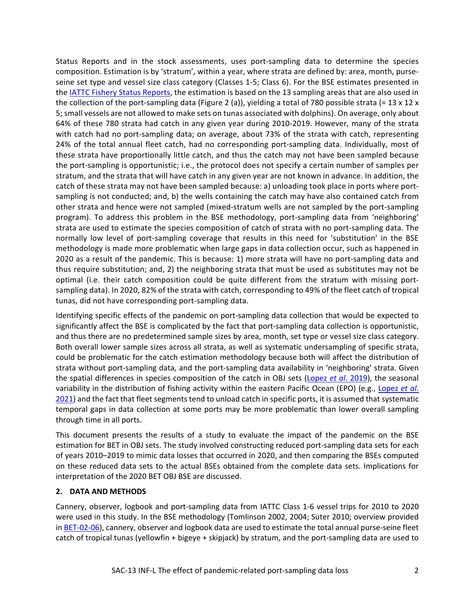Status Reports and in the stock assessments, uses port-sampling data to determine the species composition. Estimation is by 'stratum', within a year, where strata are defined by: area, month, purseseine set type and vessel size class category (Classes 1-5; Class 6). For the BSE estimates presented in th[e IATTC Fishery Status Reports,](https://www.iattc.org/FisheryStatusReportsENG.htm) the estimation is based on the 13 sampling areas that are also used in the collection of the port-sampling data (Figure 2 (a)), yielding a total of 780 possible strata (=  $13 \times 12 \times$ 5; small vessels are not allowed to make sets on tunas associated with dolphins). On average, only about 64% of these 780 strata had catch in any given year during 2010-2019. However, many of the strata with catch had no port-sampling data; on average, about 73% of the strata with catch, representing 24% of the total annual fleet catch, had no corresponding port-sampling data. Individually, most of these strata have proportionally little catch, and thus the catch may not have been sampled because the port-sampling is opportunistic; i.e., the protocol does not specify a certain number of samples per stratum, and the strata that will have catch in any given year are not known in advance. In addition, the catch of these strata may not have been sampled because: a) unloading took place in ports where portsampling is not conducted; and, b) the wells containing the catch may have also contained catch from other strata and hence were not sampled (mixed-stratum wells are not sampled by the port-sampling program). To address this problem in the BSE methodology, port-sampling data from 'neighboring' strata are used to estimate the species composition of catch of strata with no port-sampling data. The normally low level of port-sampling coverage that results in this need for 'substitution' in the BSE methodology is made more problematic when large gaps in data collection occur, such as happened in 2020 as a result of the pandemic. This is because: 1) more strata will have no port-sampling data and thus require substitution; and, 2) the neighboring strata that must be used as substitutes may not be optimal (i.e. their catch composition could be quite different from the stratum with missing portsampling data). In 2020, 82% of the strata with catch, corresponding to 49% of the fleet catch of tropical tunas, did not have corresponding port-sampling data.

Identifying specific effects of the pandemic on port-sampling data collection that would be expected to significantly affect the BSE is complicated by the fact that port-sampling data collection is opportunistic, and thus there are no predetermined sample sizes by area, month, set type or vessel size class category. Both overall lower sample sizes across all strata, as well as systematic undersampling of specific strata, could be problematic for the catch estimation methodology because both will affect the distribution of strata without port-sampling data, and the port-sampling data availability in 'neighboring' strata. Given the spatial differences in species composition of the catch in OBJ sets (Lopez *et al*[. 2019\)](https://www.iattc.org/Meetings/Meetings2019/SAC-10/INF/_English/SAC-10-INF-D_Bigeye%20tuna%20Dynamic%20Ocean%20Management.pdf), the seasonal variability in the distribution of fishing activity within the eastern Pacific Ocean (EPO) (e.g., [Lopez](https://www.iattc.org/Meetings/Meetings2021/FAD-05a/Docs/_English/FAD-05a-INF-A_Floating%20object%20fishery%20indicators%20a%202019%20report.pdf) *et al*. [2021\)](https://www.iattc.org/Meetings/Meetings2021/FAD-05a/Docs/_English/FAD-05a-INF-A_Floating%20object%20fishery%20indicators%20a%202019%20report.pdf) and the fact that fleet segments tend to unload catch in specific ports, it is assumed that systematic temporal gaps in data collection at some ports may be more problematic than lower overall sampling through time in all ports.

This document presents the results of a study to evaluate the impact of the pandemic on the BSE estimation for BET in OBJ sets. The study involved constructing reduced port-sampling data sets for each of years 2010–2019 to mimic data losses that occurred in 2020, and then comparing the BSEs computed on these reduced data sets to the actual BSEs obtained from the complete data sets. Implications for interpretation of the 2020 BET OBJ BSE are discussed.

#### **2. DATA AND METHODS**

Cannery, observer, logbook and port-sampling data from IATTC Class 1-6 vessel trips for 2010 to 2020 were used in this study. In the BSE methodology (Tomlinson 2002, 2004; Suter 2010; overview provided i[n BET-02-06\)](https://www.iattc.org/Meetings/Meetings2019/BET-02/Docs/_English/BET-02-06_Summary%20of%20purse%20seine%20data%20for%20bigeye%20tuna%20in%20the%20eastern%20Pacific%20Ocean.pdf), cannery, observer and logbook data are used to estimate the total annual purse-seine fleet catch of tropical tunas (yellowfin + bigeye + skipjack) by stratum, and the port-sampling data are used to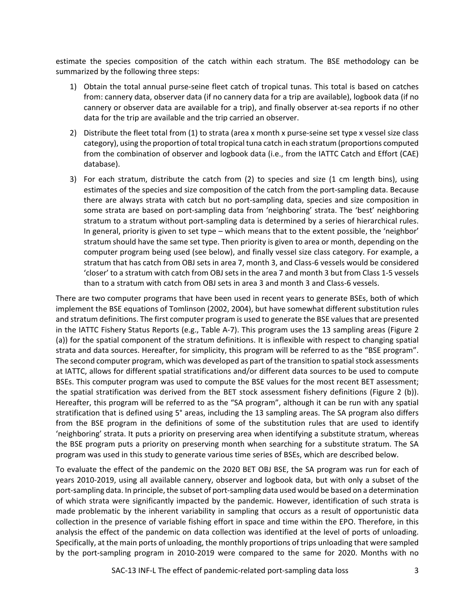estimate the species composition of the catch within each stratum. The BSE methodology can be summarized by the following three steps:

- 1) Obtain the total annual purse-seine fleet catch of tropical tunas. This total is based on catches from: cannery data, observer data (if no cannery data for a trip are available), logbook data (if no cannery or observer data are available for a trip), and finally observer at-sea reports if no other data for the trip are available and the trip carried an observer.
- 2) Distribute the fleet total from (1) to strata (area x month x purse-seine set type x vessel size class category), using the proportion of total tropical tuna catch in each stratum (proportions computed from the combination of observer and logbook data (i.e., from the IATTC Catch and Effort (CAE) database).
- 3) For each stratum, distribute the catch from (2) to species and size (1 cm length bins), using estimates of the species and size composition of the catch from the port-sampling data. Because there are always strata with catch but no port-sampling data, species and size composition in some strata are based on port-sampling data from 'neighboring' strata. The 'best' neighboring stratum to a stratum without port-sampling data is determined by a series of hierarchical rules. In general, priority is given to set type – which means that to the extent possible, the 'neighbor' stratum should have the same set type. Then priority is given to area or month, depending on the computer program being used (see below), and finally vessel size class category. For example, a stratum that has catch from OBJ sets in area 7, month 3, and Class-6 vessels would be considered 'closer' to a stratum with catch from OBJ sets in the area 7 and month 3 but from Class 1-5 vessels than to a stratum with catch from OBJ sets in area 3 and month 3 and Class-6 vessels.

There are two computer programs that have been used in recent years to generate BSEs, both of which implement the BSE equations of Tomlinson (2002, 2004), but have somewhat different substitution rules and stratum definitions. The first computer program is used to generate the BSE values that are presented in the IATTC Fishery Status Reports (e.g., Table A-7). This program uses the 13 sampling areas (Figure 2 (a)) for the spatial component of the stratum definitions. It is inflexible with respect to changing spatial strata and data sources. Hereafter, for simplicity, this program will be referred to as the "BSE program". The second computer program, which was developed as part of the transition to spatial stock assessments at IATTC, allows for different spatial stratifications and/or different data sources to be used to compute BSEs. This computer program was used to compute the BSE values for the most recent BET assessment; the spatial stratification was derived from the BET stock assessment fishery definitions (Figure 2 (b)). Hereafter, this program will be referred to as the "SA program", although it can be run with any spatial stratification that is defined using 5° areas, including the 13 sampling areas. The SA program also differs from the BSE program in the definitions of some of the substitution rules that are used to identify 'neighboring' strata. It puts a priority on preserving area when identifying a substitute stratum, whereas the BSE program puts a priority on preserving month when searching for a substitute stratum. The SA program was used in this study to generate various time series of BSEs, which are described below.

To evaluate the effect of the pandemic on the 2020 BET OBJ BSE, the SA program was run for each of years 2010-2019, using all available cannery, observer and logbook data, but with only a subset of the port-sampling data. In principle, the subset of port-sampling data used would be based on a determination of which strata were significantly impacted by the pandemic. However, identification of such strata is made problematic by the inherent variability in sampling that occurs as a result of opportunistic data collection in the presence of variable fishing effort in space and time within the EPO. Therefore, in this analysis the effect of the pandemic on data collection was identified at the level of ports of unloading. Specifically, at the main ports of unloading, the monthly proportions of trips unloading that were sampled by the port-sampling program in 2010-2019 were compared to the same for 2020. Months with no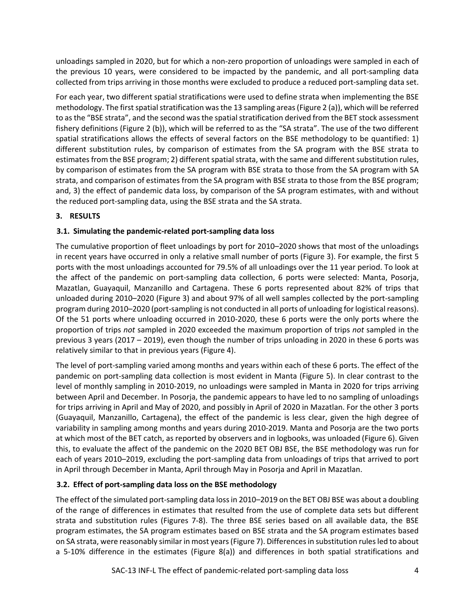unloadings sampled in 2020, but for which a non-zero proportion of unloadings were sampled in each of the previous 10 years, were considered to be impacted by the pandemic, and all port-sampling data collected from trips arriving in those months were excluded to produce a reduced port-sampling data set.

For each year, two different spatial stratifications were used to define strata when implementing the BSE methodology. The first spatial stratification was the 13 sampling areas (Figure 2 (a)), which will be referred to as the "BSE strata", and the second was the spatial stratification derived from the BET stock assessment fishery definitions (Figure 2 (b)), which will be referred to as the "SA strata". The use of the two different spatial stratifications allows the effects of several factors on the BSE methodology to be quantified: 1) different substitution rules, by comparison of estimates from the SA program with the BSE strata to estimates from the BSE program; 2) different spatial strata, with the same and different substitution rules, by comparison of estimates from the SA program with BSE strata to those from the SA program with SA strata, and comparison of estimates from the SA program with BSE strata to those from the BSE program; and, 3) the effect of pandemic data loss, by comparison of the SA program estimates, with and without the reduced port-sampling data, using the BSE strata and the SA strata.

## **3. RESULTS**

## **3.1. Simulating the pandemic-related port-sampling data loss**

The cumulative proportion of fleet unloadings by port for 2010–2020 shows that most of the unloadings in recent years have occurred in only a relative small number of ports (Figure 3). For example, the first 5 ports with the most unloadings accounted for 79.5% of all unloadings over the 11 year period. To look at the affect of the pandemic on port-sampling data collection, 6 ports were selected: Manta, Posorja, Mazatlan, Guayaquil, Manzanillo and Cartagena. These 6 ports represented about 82% of trips that unloaded during 2010–2020 (Figure 3) and about 97% of all well samples collected by the port-sampling program during 2010–2020 (port-sampling is not conducted in all ports of unloading for logistical reasons). Of the 51 ports where unloading occurred in 2010-2020, these 6 ports were the only ports where the proportion of trips *not* sampled in 2020 exceeded the maximum proportion of trips *not* sampled in the previous 3 years (2017 – 2019), even though the number of trips unloading in 2020 in these 6 ports was relatively similar to that in previous years (Figure 4).

The level of port-sampling varied among months and years within each of these 6 ports. The effect of the pandemic on port-sampling data collection is most evident in Manta (Figure 5). In clear contrast to the level of monthly sampling in 2010-2019, no unloadings were sampled in Manta in 2020 for trips arriving between April and December. In Posorja, the pandemic appears to have led to no sampling of unloadings for trips arriving in April and May of 2020, and possibly in April of 2020 in Mazatlan. For the other 3 ports (Guayaquil, Manzanillo, Cartagena), the effect of the pandemic is less clear, given the high degree of variability in sampling among months and years during 2010-2019. Manta and Posorja are the two ports at which most of the BET catch, as reported by observers and in logbooks, was unloaded (Figure 6). Given this, to evaluate the affect of the pandemic on the 2020 BET OBJ BSE, the BSE methodology was run for each of years 2010–2019, excluding the port-sampling data from unloadings of trips that arrived to port in April through December in Manta, April through May in Posorja and April in Mazatlan.

## **3.2. Effect of port-sampling data loss on the BSE methodology**

The effect of the simulated port-sampling data loss in 2010–2019 on the BET OBJ BSE was about a doubling of the range of differences in estimates that resulted from the use of complete data sets but different strata and substitution rules (Figures 7-8). The three BSE series based on all available data, the BSE program estimates, the SA program estimates based on BSE strata and the SA program estimates based on SA strata, were reasonably similar in most years (Figure 7). Differences in substitution rules led to about a 5-10% difference in the estimates (Figure 8(a)) and differences in both spatial stratifications and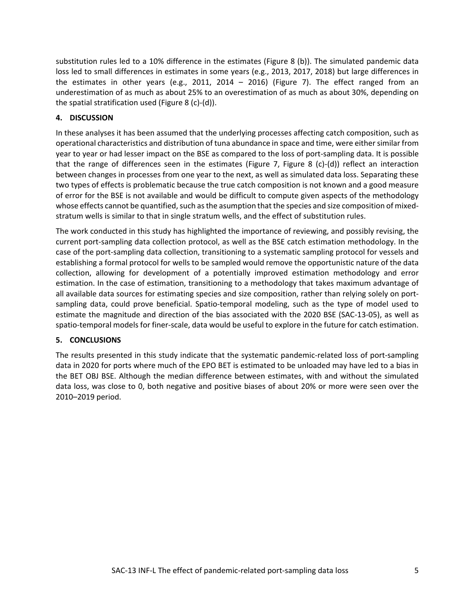substitution rules led to a 10% difference in the estimates (Figure 8 (b)). The simulated pandemic data loss led to small differences in estimates in some years (e.g., 2013, 2017, 2018) but large differences in the estimates in other years (e.g., 2011, 2014  $-$  2016) (Figure 7). The effect ranged from an underestimation of as much as about 25% to an overestimation of as much as about 30%, depending on the spatial stratification used (Figure 8 (c)-(d)).

#### **4. DISCUSSION**

In these analyses it has been assumed that the underlying processes affecting catch composition, such as operational characteristics and distribution of tuna abundance in space and time, were either similar from year to year or had lesser impact on the BSE as compared to the loss of port-sampling data. It is possible that the range of differences seen in the estimates (Figure 7, Figure 8 (c)-(d)) reflect an interaction between changes in processes from one year to the next, as well as simulated data loss. Separating these two types of effects is problematic because the true catch composition is not known and a good measure of error for the BSE is not available and would be difficult to compute given aspects of the methodology whose effects cannot be quantified, such as the asumption that the species and size composition of mixedstratum wells is similar to that in single stratum wells, and the effect of substitution rules.

The work conducted in this study has highlighted the importance of reviewing, and possibly revising, the current port-sampling data collection protocol, as well as the BSE catch estimation methodology. In the case of the port-sampling data collection, transitioning to a systematic sampling protocol for vessels and establishing a formal protocol for wells to be sampled would remove the opportunistic nature of the data collection, allowing for development of a potentially improved estimation methodology and error estimation. In the case of estimation, transitioning to a methodology that takes maximum advantage of all available data sources for estimating species and size composition, rather than relying solely on portsampling data, could prove beneficial. Spatio-temporal modeling, such as the type of model used to estimate the magnitude and direction of the bias associated with the 2020 BSE (SAC-13-05), as well as spatio-temporal models for finer-scale, data would be useful to explore in the future for catch estimation.

#### **5. CONCLUSIONS**

The results presented in this study indicate that the systematic pandemic-related loss of port-sampling data in 2020 for ports where much of the EPO BET is estimated to be unloaded may have led to a bias in the BET OBJ BSE. Although the median difference between estimates, with and without the simulated data loss, was close to 0, both negative and positive biases of about 20% or more were seen over the 2010–2019 period.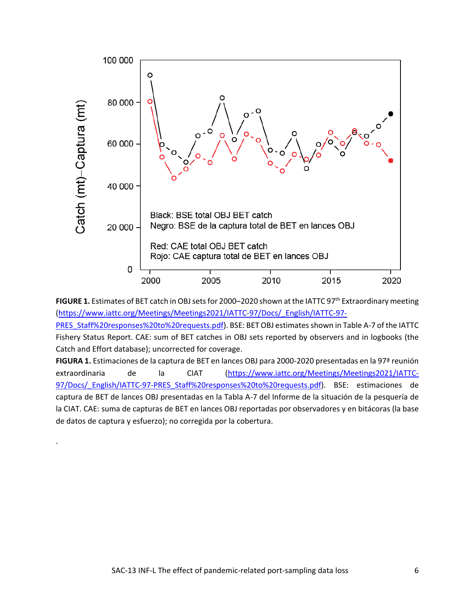

**FIGURE 1.** Estimates of BET catch in OBJ sets for 2000–2020 shown at the IATTC 97<sup>th</sup> Extraordinary meeting [\(https://www.iattc.org/Meetings/Meetings2021/IATTC-97/Docs/\\_English/IATTC-97-](https://www.iattc.org/Meetings/Meetings2021/IATTC-97/Docs/_English/IATTC-97-PRES_Staff%20responses%20to%20requests.pdf)

[PRES\\_Staff%20responses%20to%20requests.pdf\)](https://www.iattc.org/Meetings/Meetings2021/IATTC-97/Docs/_English/IATTC-97-PRES_Staff%20responses%20to%20requests.pdf). BSE: BET OBJ estimates shown in Table A-7 of the IATTC Fishery Status Report. CAE: sum of BET catches in OBJ sets reported by observers and in logbooks (the Catch and Effort database); uncorrected for coverage.

**FIGURA 1.** Estimaciones de la captura de BET en lances OBJ para 2000-2020 presentadas en la 97ª reunión extraordinaria de la CIAT [\(https://www.iattc.org/Meetings/Meetings2021/IATTC-](https://www.iattc.org/Meetings/Meetings2021/IATTC-97/Docs/_English/IATTC-97-PRES_Staff%20responses%20to%20requests.pdf)97/Docs/ English/IATTC-97-PRES\_Staff%20responses%20to%20requests.pdf). BSE: estimaciones de captura de BET de lances OBJ presentadas en la Tabla A-7 del Informe de la situación de la pesquería de la CIAT. CAE: suma de capturas de BET en lances OBJ reportadas por observadores y en bitácoras (la base de datos de captura y esfuerzo); no corregida por la cobertura.

.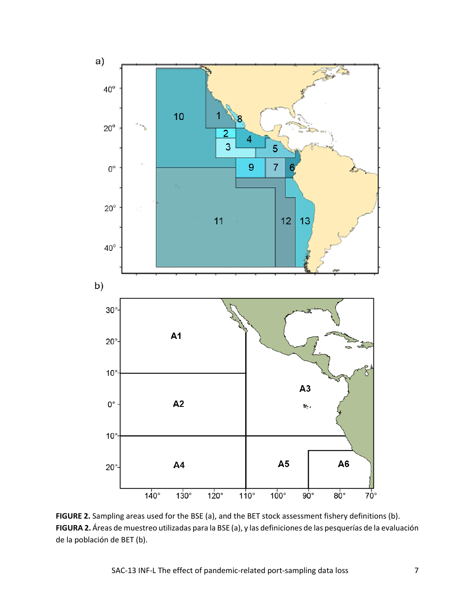

**FIGURE 2.** Sampling areas used for the BSE (a), and the BET stock assessment fishery definitions (b). **FIGURA 2.** Áreas de muestreo utilizadas para la BSE (a), y las definiciones de las pesquerías de la evaluación de la población de BET (b).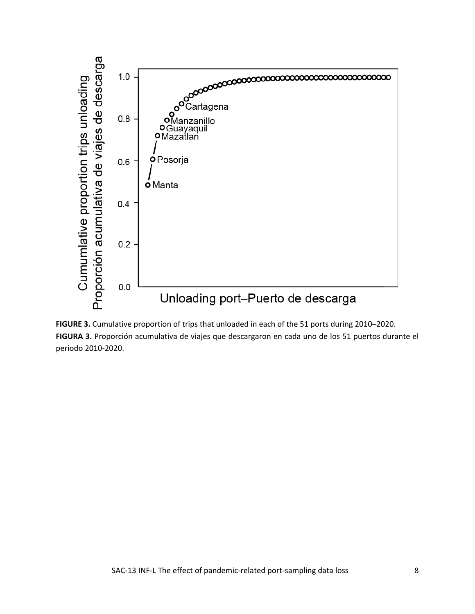

**FIGURE 3.** Cumulative proportion of trips that unloaded in each of the 51 ports during 2010–2020. **FIGURA 3.** Proporción acumulativa de viajes que descargaron en cada uno de los 51 puertos durante el periodo 2010-2020.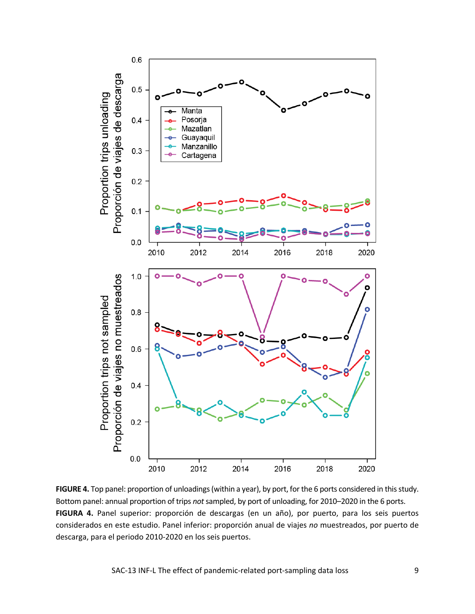

**FIGURE 4.** Top panel: proportion of unloadings (within a year), by port, for the 6 ports considered in this study. Bottom panel: annual proportion of trips *not*sampled, by port of unloading, for 2010–2020 in the 6 ports. **FIGURA 4.** Panel superior: proporción de descargas (en un año), por puerto, para los seis puertos considerados en este estudio. Panel inferior: proporción anual de viajes *no* muestreados, por puerto de descarga, para el periodo 2010-2020 en los seis puertos.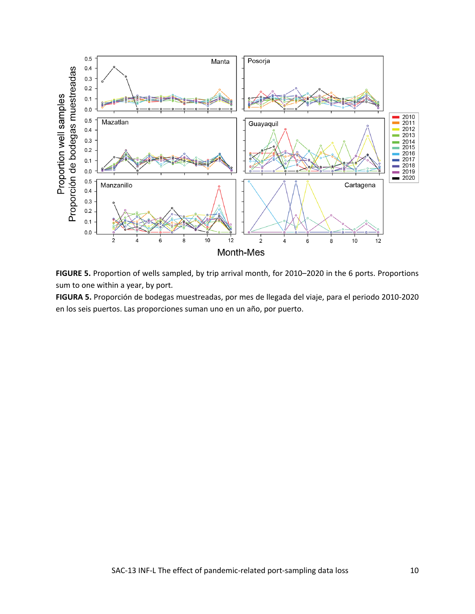

**FIGURE 5.** Proportion of wells sampled, by trip arrival month, for 2010–2020 in the 6 ports. Proportions sum to one within a year, by port.

**FIGURA 5.** Proporción de bodegas muestreadas, por mes de llegada del viaje, para el periodo 2010-2020 en los seis puertos. Las proporciones suman uno en un año, por puerto.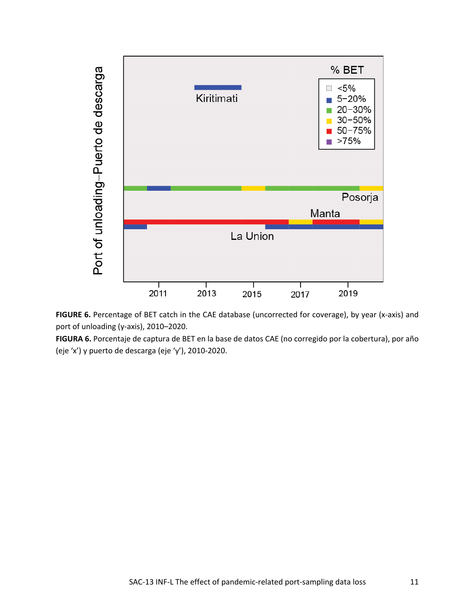

FIGURE 6. Percentage of BET catch in the CAE database (uncorrected for coverage), by year (x-axis) and port of unloading (y-axis), 2010–2020.

**FIGURA 6.** Porcentaje de captura de BET en la base de datos CAE (no corregido por la cobertura), por año (eje 'x') y puerto de descarga (eje 'y'), 2010-2020.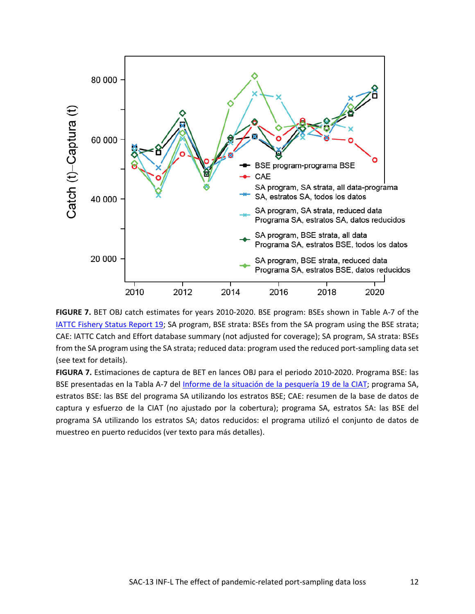



**FIGURA 7.** Estimaciones de captura de BET en lances OBJ para el periodo 2010-2020. Programa BSE: las BSE presentadas en la Tabla A-7 del [Informe de la situación de la pesquería 19 de la CIAT;](https://www.iattc.org/PDFFiles/FisheryStatusReports/_Spanish/No-19-2021_Pesquer%C3%ADa%20atunera,%20las%20poblaciones,%20y%20el%20ecosistema%20en%20el%20Oc%C3%A9ano%20Pac%C3%ADfico%20oriental%20en%202020.pdf) programa SA, estratos BSE: las BSE del programa SA utilizando los estratos BSE; CAE: resumen de la base de datos de captura y esfuerzo de la CIAT (no ajustado por la cobertura); programa SA, estratos SA: las BSE del programa SA utilizando los estratos SA; datos reducidos: el programa utilizó el conjunto de datos de muestreo en puerto reducidos (ver texto para más detalles).